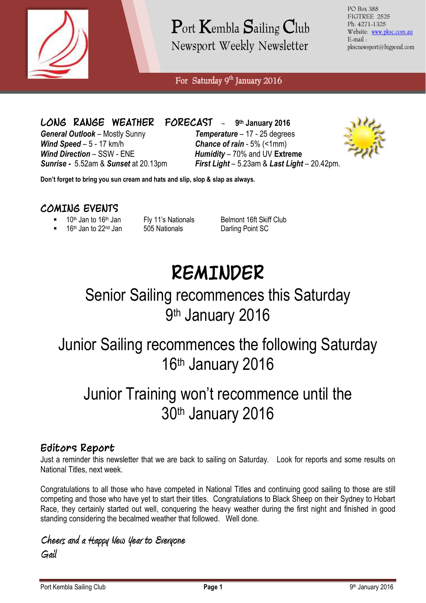

Port Kembla Sailing Club Newsport Weekly Newsletter

PO Box 388 FIGTREE 2525 Ph: 4271-1325 Website: [www.pksc.com.au](http://www.pksc.com.au/) E-mail : pkscnewsport@bigpond.com

For Saturday 9<sup>th</sup> January 2016

**LONG RANGE WEATHER** *General Outlook* – Mostly Sunny *Temperature* – 17 - 25 degrees *Wind Speed* – 5 - 17 km/h *Chance of rain* - 5% (<1mm) *Wind Direction* – SSW - ENE *Humidity* – 70% and UV **Extreme** *Sunrise -* 5.52am & *Sunset* at 20.13pm *First Light* – 5.23am & *Last Light* – 20.42pm.

**FORECAST** - 9th January 2016



**Don't forget to bring you sun cream and hats and slip, slop & slap as always.**

#### **COMING EVENTS**

- 
- 16<sup>th</sup> Jan to 22<sup>nd</sup> Jan 505 Nationals Darling Point SC
- 

 $10<sup>th</sup>$  Jan to  $16<sup>th</sup>$  Jan Fly 11's Nationals Belmont 16ft Skiff Club<br>16<sup>th</sup> Jan to 22<sup>nd</sup> Jan 505 Nationals Darling Point SC

# **REMINDER**

### Senior Sailing recommences this Saturday 9<sup>th</sup> January 2016

### Junior Sailing recommences the following Saturday 16th January 2016

## Junior Training won't recommence until the 30th January 2016

#### **Editors Report**

Just a reminder this newsletter that we are back to sailing on Saturday. Look for reports and some results on National Titles, next week.

Congratulations to all those who have competed in National Titles and continuing good sailing to those are still competing and those who have yet to start their titles. Congratulations to Black Sheep on their Sydney to Hobart Race, they certainly started out well, conquering the heavy weather during the first night and finished in good standing considering the becalmed weather that followed. Well done.

**Cheers and a Happy New Year to Everyone Gail**